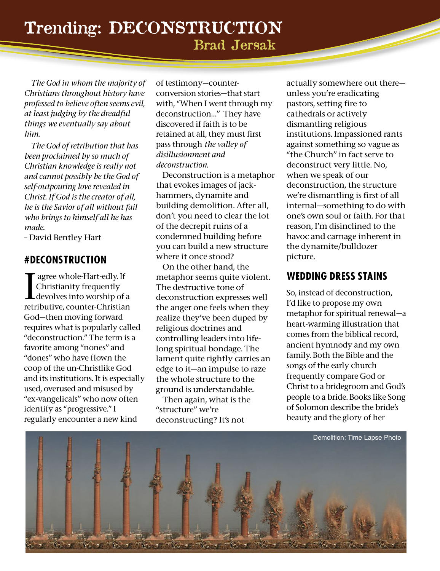*The God in whom the majority of Christians throughout history have professed to believe often seems evil, at least judging by the dreadful things we eventually say about him.*

*The God of retribution that has been proclaimed by so much of Christian knowledge is really not and cannot possibly be the God of self-outpouring love revealed in Christ. If God is the creator of all, he is the Savior of all without fail who brings to himself all he has made.*

– David Bentley Hart

## **#DECONSTRUCTION**

I agree whole-Hart-edly. If<br>Christianity frequently<br>devolves into worship of a<br>retributive, counter-Christian agree whole-Hart-edly. If Christianity frequently devolves into worship of a God—then moving forward requires what is popularly called "deconstruction." The term is a favorite among "nones" and "dones" who have flown the coop of the un-Christlike God and its institutions. It is especially used, overused and misused by "ex-vangelicals" who now often identify as "progressive." I regularly encounter a new kind

of testimony—counterconversion stories—that start with, "When I went through my deconstruction…" They have discovered if faith is to be retained at all, they must first pass through *the valley of disillusionment and deconstruction.*

Deconstruction is a metaphor that evokes images of jackhammers, dynamite and building demolition. After all, don't you need to clear the lot of the decrepit ruins of a condemned building before you can build a new structure where it once stood?

On the other hand, the metaphor seems quite violent. The destructive tone of deconstruction expresses well the anger one feels when they realize they've been duped by religious doctrines and controlling leaders into lifelong spiritual bondage. The lament quite rightly carries an edge to it—an impulse to raze the whole structure to the ground is understandable.

Then again, what is the "structure" we're deconstructing? It's not

actually somewhere out there unless you're eradicating pastors, setting fire to cathedrals or actively dismantling religious institutions. Impassioned rants against something so vague as "the Church" in fact serve to deconstruct very little. No, when we speak of our deconstruction, the structure we're dismantling is first of all internal—something to do with one's own soul or faith. For that reason, I'm disinclined to the havoc and carnage inherent in the dynamite/bulldozer picture.

## **WEDDING DRESS STAINS**

So, instead of deconstruction, I'd like to propose my own metaphor for spiritual renewal—a heart-warming illustration that comes from the biblical record, ancient hymnody and my own family. Both the Bible and the songs of the early church frequently compare God or Christ to a bridegroom and God's people to a bride. Books like Song of Solomon describe the bride's beauty and the glory of her

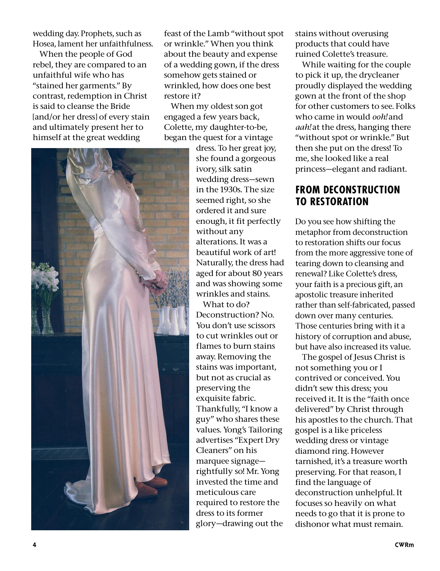wedding day. Prophets, such as Hosea, lament her unfaithfulness.

When the people of God rebel, they are compared to an unfaithful wife who has "stained her garments." By contrast, redemption in Christ is said to cleanse the Bride [and/or her dress] of every stain and ultimately present her to himself at the great wedding

feast of the Lamb "without spot or wrinkle." When you think about the beauty and expense of a wedding gown, if the dress somehow gets stained or wrinkled, how does one best restore it?

When my oldest son got engaged a few years back, Colette, my daughter-to-be, began the quest for a vintage

> dress. To her great joy, she found a gorgeous ivory, silk satin wedding dress—sewn in the 1930s. The size seemed right, so she ordered it and sure enough, it fit perfectly without any alterations. It was a beautiful work of art! Naturally, the dress had aged for about 80 years and was showing some wrinkles and stains.

What to do? Deconstruction? No. You don't use scissors to cut wrinkles out or flames to burn stains away. Removing the stains was important, but not as crucial as preserving the exquisite fabric. Thankfully, "I know a guy" who shares these values. Yong's Tailoring advertises "Expert Dry Cleaners" on his marquee signage rightfully so! Mr. Yong invested the time and meticulous care required to restore the dress to its former glory—drawing out the stains without overusing products that could have ruined Colette's treasure.

While waiting for the couple to pick it up, the drycleaner proudly displayed the wedding gown at the front of the shop for other customers to see. Folks who came in would *ooh!* and *aah!* at the dress, hanging there "without spot or wrinkle." But then she put on the dress! To me, she looked like a real princess—elegant and radiant.

#### **FROM DECONSTRUCTION TO RESTORATION**

Do you see how shifting the metaphor from deconstruction to restoration shifts our focus from the more aggressive tone of tearing down to cleansing and renewal? Like Colette's dress, your faith is a precious gift, an apostolic treasure inherited rather than self-fabricated, passed down over many centuries. Those centuries bring with it a history of corruption and abuse, but have also increased its value.

The gospel of Jesus Christ is not something you or I contrived or conceived. You didn't sew this dress; you received it. It is the "faith once delivered" by Christ through his apostles to the church. That gospel is a like priceless wedding dress or vintage diamond ring. However tarnished, it's a treasure worth preserving. For that reason, I find the language of deconstruction unhelpful. It focuses so heavily on what needs to go that it is prone to dishonor what must remain.